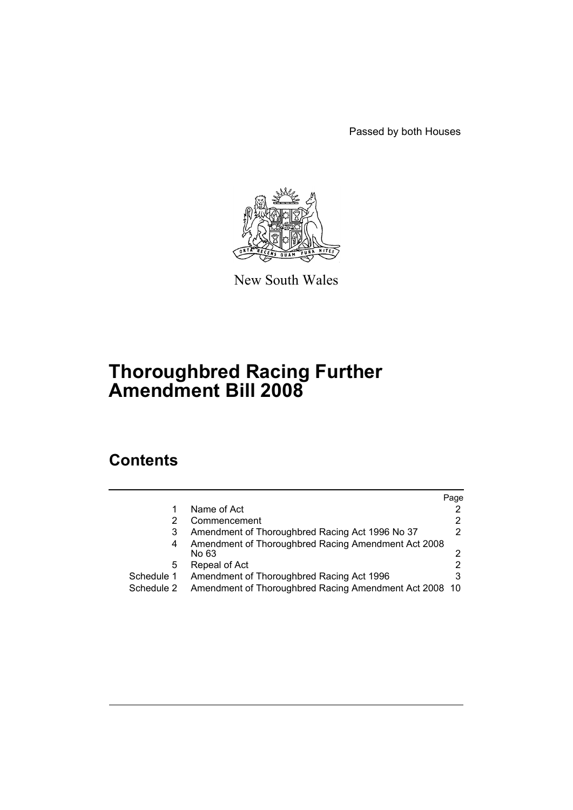Passed by both Houses



New South Wales

# **Thoroughbred Racing Further Amendment Bill 2008**

# **Contents**

|            |                                                              | Page |
|------------|--------------------------------------------------------------|------|
|            | Name of Act                                                  |      |
|            | Commencement                                                 |      |
|            | Amendment of Thoroughbred Racing Act 1996 No 37              |      |
| 4          | Amendment of Thoroughbred Racing Amendment Act 2008<br>No 63 |      |
| 5          | Repeal of Act                                                |      |
| Schedule 1 | Amendment of Thoroughbred Racing Act 1996                    |      |
| Schedule 2 | Amendment of Thoroughbred Racing Amendment Act 2008 10       |      |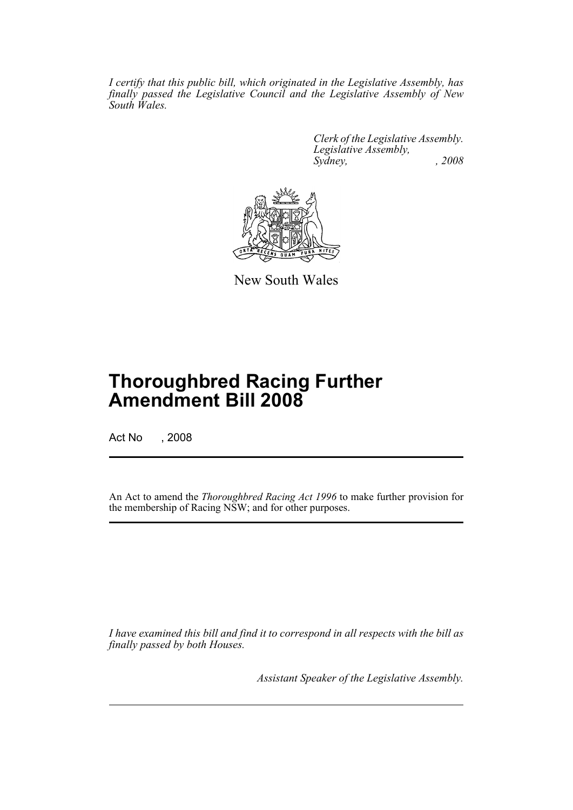*I certify that this public bill, which originated in the Legislative Assembly, has finally passed the Legislative Council and the Legislative Assembly of New South Wales.*

> *Clerk of the Legislative Assembly. Legislative Assembly, Sydney, , 2008*



New South Wales

# **Thoroughbred Racing Further Amendment Bill 2008**

Act No , 2008

An Act to amend the *Thoroughbred Racing Act 1996* to make further provision for the membership of Racing NSW; and for other purposes.

*I have examined this bill and find it to correspond in all respects with the bill as finally passed by both Houses.*

*Assistant Speaker of the Legislative Assembly.*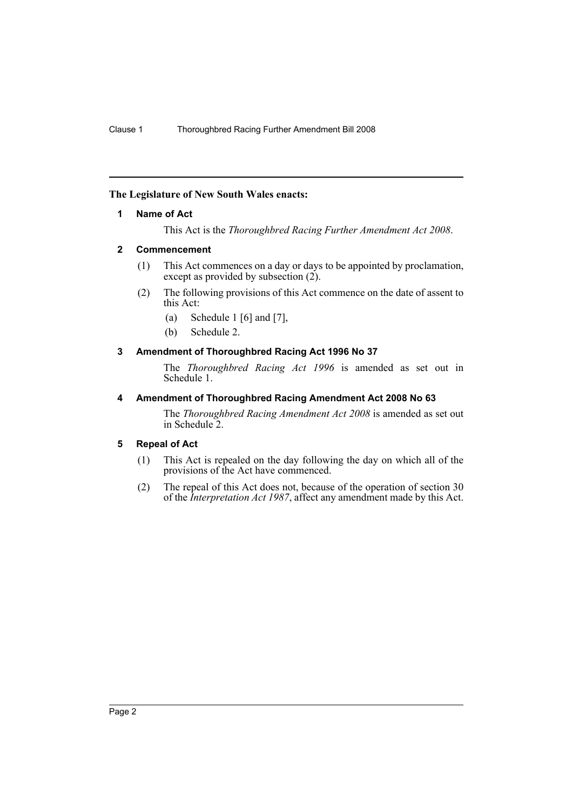# <span id="page-2-0"></span>**The Legislature of New South Wales enacts:**

# **1 Name of Act**

This Act is the *Thoroughbred Racing Further Amendment Act 2008*.

# <span id="page-2-1"></span>**2 Commencement**

- (1) This Act commences on a day or days to be appointed by proclamation, except as provided by subsection  $(2)$ .
- (2) The following provisions of this Act commence on the date of assent to this Act:
	- (a) Schedule 1 [6] and [7],
	- (b) Schedule 2.

# <span id="page-2-2"></span>**3 Amendment of Thoroughbred Racing Act 1996 No 37**

The *Thoroughbred Racing Act 1996* is amended as set out in Schedule 1.

# <span id="page-2-3"></span>**4 Amendment of Thoroughbred Racing Amendment Act 2008 No 63**

The *Thoroughbred Racing Amendment Act 2008* is amended as set out in Schedule 2.

# <span id="page-2-4"></span>**5 Repeal of Act**

- (1) This Act is repealed on the day following the day on which all of the provisions of the Act have commenced.
- (2) The repeal of this Act does not, because of the operation of section 30 of the *Interpretation Act 1987*, affect any amendment made by this Act.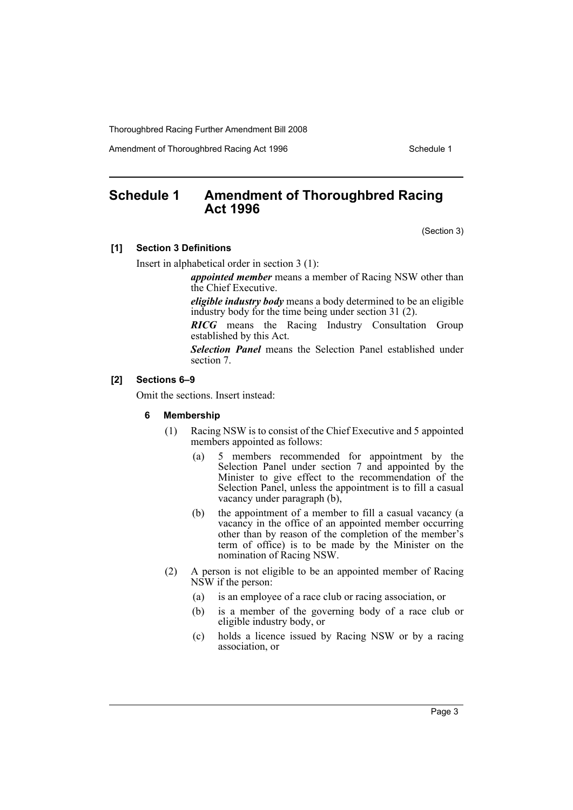Amendment of Thoroughbred Racing Act 1996 Schedule 1

# <span id="page-3-0"></span>**Schedule 1 Amendment of Thoroughbred Racing Act 1996**

(Section 3)

#### **[1] Section 3 Definitions**

Insert in alphabetical order in section 3 (1):

*appointed member* means a member of Racing NSW other than the Chief Executive.

*eligible industry body* means a body determined to be an eligible industry body for the time being under section 31 (2).

*RICG* means the Racing Industry Consultation Group established by this Act.

*Selection Panel* means the Selection Panel established under section 7.

# **[2] Sections 6–9**

Omit the sections. Insert instead:

#### **6 Membership**

- (1) Racing NSW is to consist of the Chief Executive and 5 appointed members appointed as follows:
	- (a) 5 members recommended for appointment by the Selection Panel under section 7 and appointed by the Minister to give effect to the recommendation of the Selection Panel, unless the appointment is to fill a casual vacancy under paragraph (b),
	- (b) the appointment of a member to fill a casual vacancy (a vacancy in the office of an appointed member occurring other than by reason of the completion of the member's term of office) is to be made by the Minister on the nomination of Racing NSW.
- (2) A person is not eligible to be an appointed member of Racing NSW if the person:
	- (a) is an employee of a race club or racing association, or
	- (b) is a member of the governing body of a race club or eligible industry body, or
	- (c) holds a licence issued by Racing NSW or by a racing association, or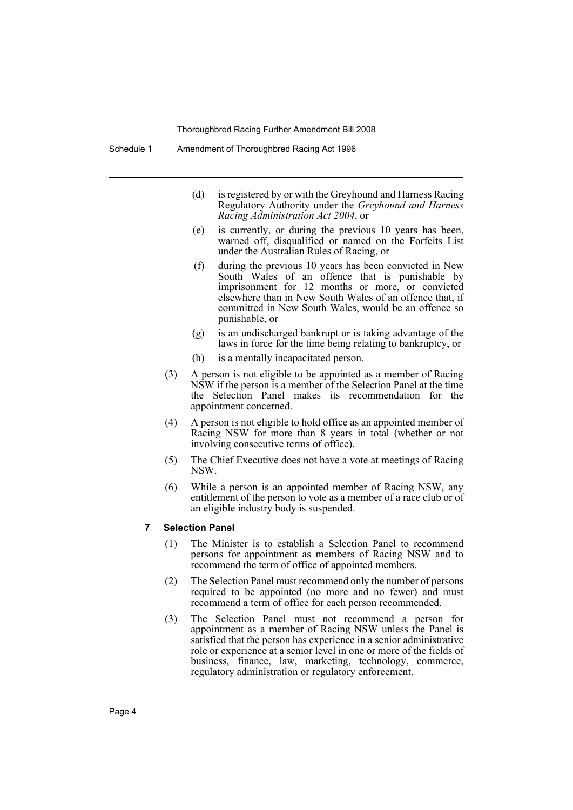Schedule 1 Amendment of Thoroughbred Racing Act 1996

- (d) is registered by or with the Greyhound and Harness Racing Regulatory Authority under the *Greyhound and Harness Racing Administration Act 2004*, or
- (e) is currently, or during the previous 10 years has been, warned off, disqualified or named on the Forfeits List under the Australian Rules of Racing, or
- (f) during the previous 10 years has been convicted in New South Wales of an offence that is punishable by imprisonment for 12 months or more, or convicted elsewhere than in New South Wales of an offence that, if committed in New South Wales, would be an offence so punishable, or
- (g) is an undischarged bankrupt or is taking advantage of the laws in force for the time being relating to bankruptcy, or
- (h) is a mentally incapacitated person.
- (3) A person is not eligible to be appointed as a member of Racing NSW if the person is a member of the Selection Panel at the time the Selection Panel makes its recommendation for the appointment concerned.
- (4) A person is not eligible to hold office as an appointed member of Racing NSW for more than 8 years in total (whether or not involving consecutive terms of office).
- (5) The Chief Executive does not have a vote at meetings of Racing NSW.
- (6) While a person is an appointed member of Racing NSW, any entitlement of the person to vote as a member of a race club or of an eligible industry body is suspended.

#### **7 Selection Panel**

- (1) The Minister is to establish a Selection Panel to recommend persons for appointment as members of Racing NSW and to recommend the term of office of appointed members.
- (2) The Selection Panel must recommend only the number of persons required to be appointed (no more and no fewer) and must recommend a term of office for each person recommended.
- (3) The Selection Panel must not recommend a person for appointment as a member of Racing NSW unless the Panel is satisfied that the person has experience in a senior administrative role or experience at a senior level in one or more of the fields of business, finance, law, marketing, technology, commerce, regulatory administration or regulatory enforcement.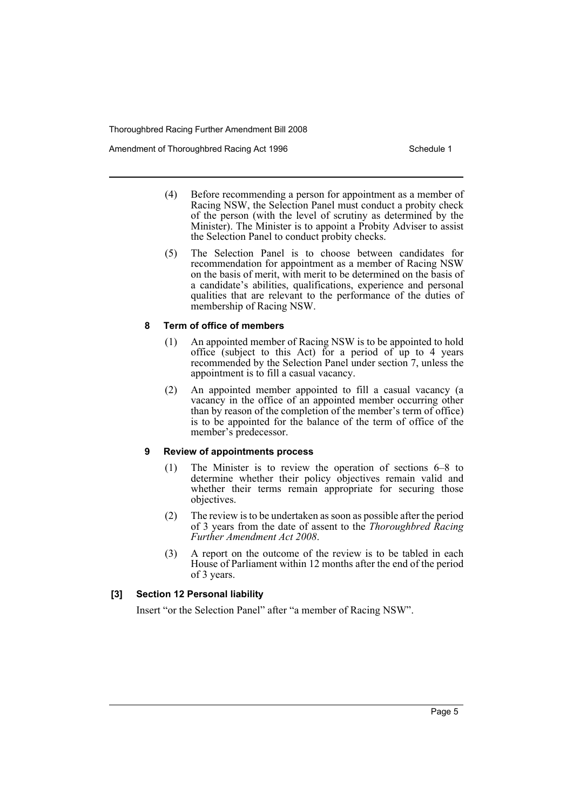Amendment of Thoroughbred Racing Act 1996 Schedule 1

- (4) Before recommending a person for appointment as a member of Racing NSW, the Selection Panel must conduct a probity check of the person (with the level of scrutiny as determined by the Minister). The Minister is to appoint a Probity Adviser to assist the Selection Panel to conduct probity checks.
- (5) The Selection Panel is to choose between candidates for recommendation for appointment as a member of Racing NSW on the basis of merit, with merit to be determined on the basis of a candidate's abilities, qualifications, experience and personal qualities that are relevant to the performance of the duties of membership of Racing NSW.

# **8 Term of office of members**

- (1) An appointed member of Racing NSW is to be appointed to hold office (subject to this Act) for a period of up to 4 years recommended by the Selection Panel under section 7, unless the appointment is to fill a casual vacancy.
- (2) An appointed member appointed to fill a casual vacancy (a vacancy in the office of an appointed member occurring other than by reason of the completion of the member's term of office) is to be appointed for the balance of the term of office of the member's predecessor.

# **9 Review of appointments process**

- (1) The Minister is to review the operation of sections 6–8 to determine whether their policy objectives remain valid and whether their terms remain appropriate for securing those objectives.
- (2) The review is to be undertaken as soon as possible after the period of 3 years from the date of assent to the *Thoroughbred Racing Further Amendment Act 2008*.
- (3) A report on the outcome of the review is to be tabled in each House of Parliament within 12 months after the end of the period of 3 years.

# **[3] Section 12 Personal liability**

Insert "or the Selection Panel" after "a member of Racing NSW".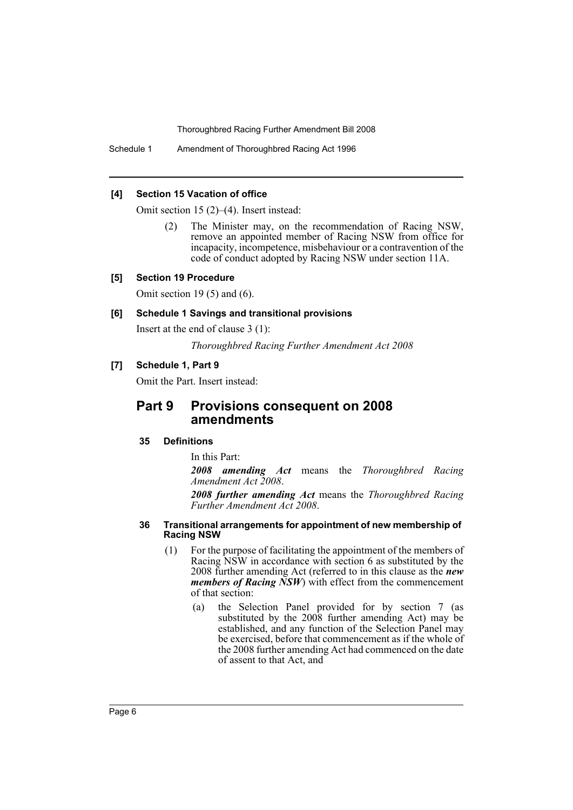Schedule 1 Amendment of Thoroughbred Racing Act 1996

#### **[4] Section 15 Vacation of office**

Omit section 15 (2)–(4). Insert instead:

(2) The Minister may, on the recommendation of Racing NSW, remove an appointed member of Racing NSW from office for incapacity, incompetence, misbehaviour or a contravention of the code of conduct adopted by Racing NSW under section 11A.

#### **[5] Section 19 Procedure**

Omit section 19 $(5)$  and  $(6)$ .

#### **[6] Schedule 1 Savings and transitional provisions**

Insert at the end of clause 3 (1):

*Thoroughbred Racing Further Amendment Act 2008*

#### **[7] Schedule 1, Part 9**

Omit the Part. Insert instead:

# **Part 9 Provisions consequent on 2008 amendments**

#### **35 Definitions**

In this Part:

*2008 amending Act* means the *Thoroughbred Racing Amendment Act 2008*.

*2008 further amending Act* means the *Thoroughbred Racing Further Amendment Act 2008*.

#### **36 Transitional arrangements for appointment of new membership of Racing NSW**

- (1) For the purpose of facilitating the appointment of the members of Racing NSW in accordance with section 6 as substituted by the 2008 further amending Act (referred to in this clause as the *new members of Racing NSW*) with effect from the commencement of that section:
	- (a) the Selection Panel provided for by section 7 (as substituted by the 2008 further amending Act) may be established, and any function of the Selection Panel may be exercised, before that commencement as if the whole of the 2008 further amending Act had commenced on the date of assent to that Act, and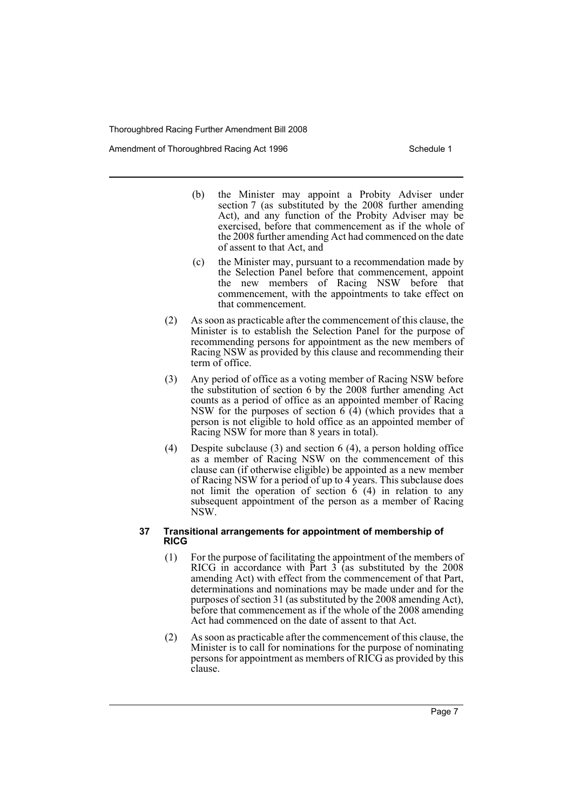Amendment of Thoroughbred Racing Act 1996 Schedule 1

- (b) the Minister may appoint a Probity Adviser under section 7 (as substituted by the 2008 further amending Act), and any function of the Probity Adviser may be exercised, before that commencement as if the whole of the 2008 further amending Act had commenced on the date of assent to that Act, and
- (c) the Minister may, pursuant to a recommendation made by the Selection Panel before that commencement, appoint the new members of Racing NSW before that commencement, with the appointments to take effect on that commencement.
- (2) As soon as practicable after the commencement of this clause, the Minister is to establish the Selection Panel for the purpose of recommending persons for appointment as the new members of Racing NSW as provided by this clause and recommending their term of office.
- (3) Any period of office as a voting member of Racing NSW before the substitution of section 6 by the 2008 further amending Act counts as a period of office as an appointed member of Racing NSW for the purposes of section  $\vec{6}$  (4) (which provides that a person is not eligible to hold office as an appointed member of Racing NSW for more than 8 years in total).
- (4) Despite subclause (3) and section 6 (4), a person holding office as a member of Racing NSW on the commencement of this clause can (if otherwise eligible) be appointed as a new member of Racing NSW for a period of up to 4 years. This subclause does not limit the operation of section 6 (4) in relation to any subsequent appointment of the person as a member of Racing NSW.

#### **37 Transitional arrangements for appointment of membership of RICG**

- (1) For the purpose of facilitating the appointment of the members of RICG in accordance with Part  $3$  (as substituted by the 2008 amending Act) with effect from the commencement of that Part, determinations and nominations may be made under and for the purposes of section 31 (as substituted by the 2008 amending Act), before that commencement as if the whole of the 2008 amending Act had commenced on the date of assent to that Act.
- (2) As soon as practicable after the commencement of this clause, the Minister is to call for nominations for the purpose of nominating persons for appointment as members of RICG as provided by this clause.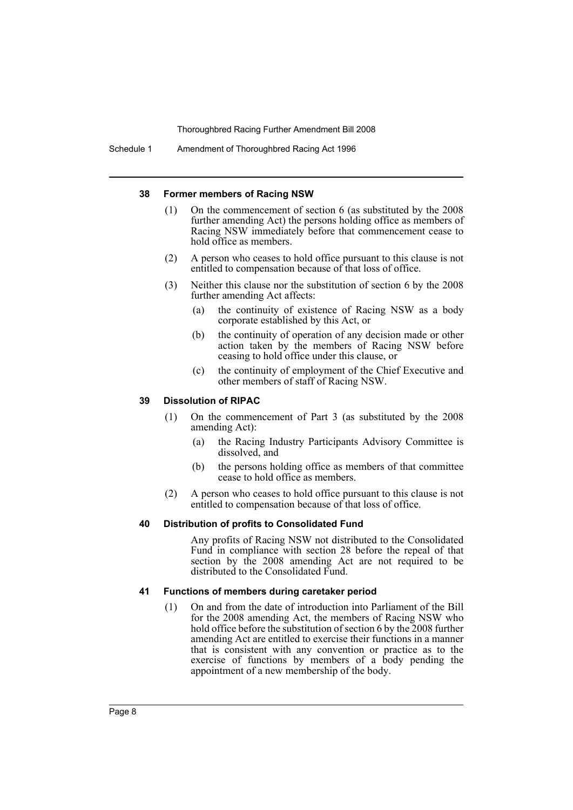Schedule 1 Amendment of Thoroughbred Racing Act 1996

#### **38 Former members of Racing NSW**

- (1) On the commencement of section 6 (as substituted by the 2008 further amending Act) the persons holding office as members of Racing NSW immediately before that commencement cease to hold office as members.
- (2) A person who ceases to hold office pursuant to this clause is not entitled to compensation because of that loss of office.
- (3) Neither this clause nor the substitution of section 6 by the 2008 further amending Act affects:
	- (a) the continuity of existence of Racing NSW as a body corporate established by this Act, or
	- (b) the continuity of operation of any decision made or other action taken by the members of Racing NSW before ceasing to hold office under this clause, or
	- (c) the continuity of employment of the Chief Executive and other members of staff of Racing NSW.

#### **39 Dissolution of RIPAC**

- (1) On the commencement of Part 3 (as substituted by the 2008 amending Act):
	- (a) the Racing Industry Participants Advisory Committee is dissolved, and
	- (b) the persons holding office as members of that committee cease to hold office as members.
- (2) A person who ceases to hold office pursuant to this clause is not entitled to compensation because of that loss of office.

#### **40 Distribution of profits to Consolidated Fund**

Any profits of Racing NSW not distributed to the Consolidated Fund in compliance with section 28 before the repeal of that section by the 2008 amending Act are not required to be distributed to the Consolidated Fund.

#### **41 Functions of members during caretaker period**

(1) On and from the date of introduction into Parliament of the Bill for the 2008 amending Act, the members of Racing NSW who hold office before the substitution of section 6 by the 2008 further amending Act are entitled to exercise their functions in a manner that is consistent with any convention or practice as to the exercise of functions by members of a body pending the appointment of a new membership of the body.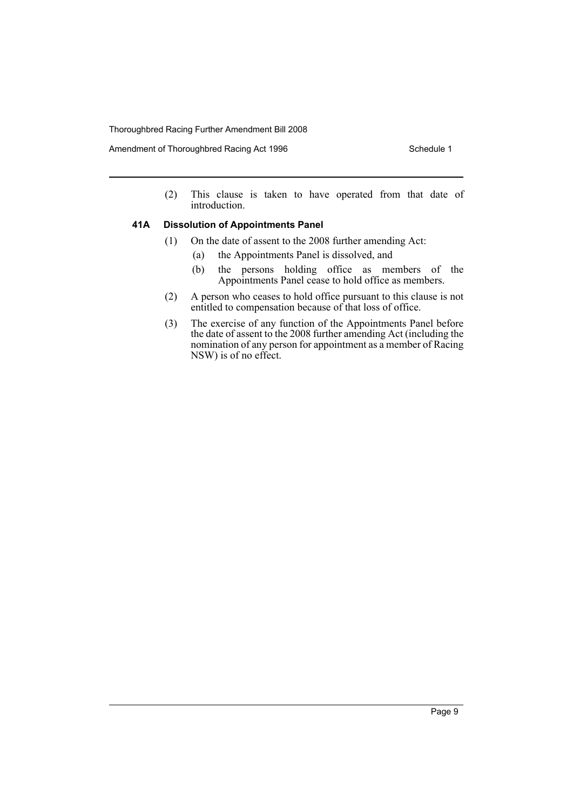Amendment of Thoroughbred Racing Act 1996 Schedule 1

(2) This clause is taken to have operated from that date of introduction.

#### **41A Dissolution of Appointments Panel**

- (1) On the date of assent to the 2008 further amending Act:
	- (a) the Appointments Panel is dissolved, and
	- (b) the persons holding office as members of the Appointments Panel cease to hold office as members.
- (2) A person who ceases to hold office pursuant to this clause is not entitled to compensation because of that loss of office.
- (3) The exercise of any function of the Appointments Panel before the date of assent to the 2008 further amending Act (including the nomination of any person for appointment as a member of Racing NSW) is of no effect.